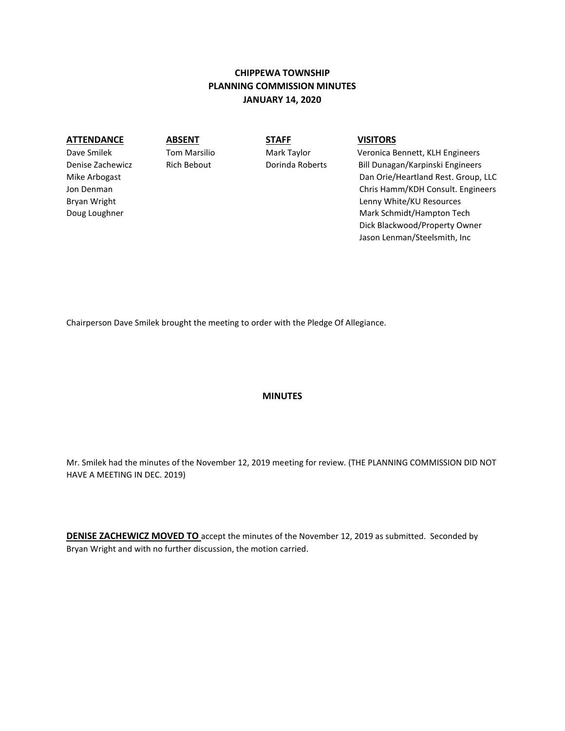# **CHIPPEWA TOWNSHIP PLANNING COMMISSION MINUTES JANUARY 14, 2020**

**ATTENDANCE ABSENT STAFF VISITORS**

Dave Smilek Tom Marsilio Mark Taylor Veronica Bennett, KLH Engineers Denise Zachewicz Rich Bebout Dorinda Roberts Bill Dunagan/Karpinski Engineers Mike Arbogast Dan Orie/Heartland Rest. Group, LLC Jon Denman Chris Hamm/KDH Consult. Engineers Bryan Wright Lenny White/KU Resources Doug Loughner Mark Schmidt/Hampton Tech and Douglas Coughner Mark Schmidt/Hampton Tech Dick Blackwood/Property Owner Jason Lenman/Steelsmith, Inc

Chairperson Dave Smilek brought the meeting to order with the Pledge Of Allegiance.

### **MINUTES**

Mr. Smilek had the minutes of the November 12, 2019 meeting for review. (THE PLANNING COMMISSION DID NOT HAVE A MEETING IN DEC. 2019)

**DENISE ZACHEWICZ MOVED TO** accept the minutes of the November 12, 2019 as submitted. Seconded by Bryan Wright and with no further discussion, the motion carried.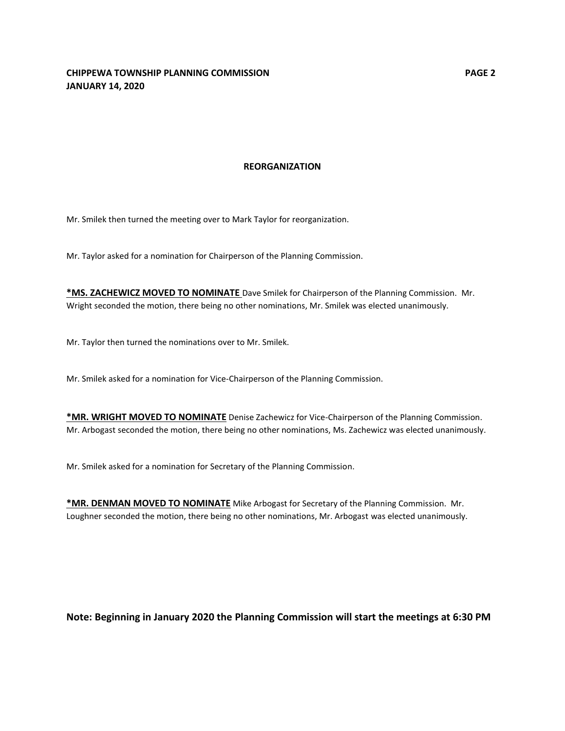#### **REORGANIZATION**

Mr. Smilek then turned the meeting over to Mark Taylor for reorganization.

Mr. Taylor asked for a nomination for Chairperson of the Planning Commission.

**\*MS. ZACHEWICZ MOVED TO NOMINATE** Dave Smilek for Chairperson of the Planning Commission. Mr. Wright seconded the motion, there being no other nominations, Mr. Smilek was elected unanimously.

Mr. Taylor then turned the nominations over to Mr. Smilek.

Mr. Smilek asked for a nomination for Vice-Chairperson of the Planning Commission.

**\*MR. WRIGHT MOVED TO NOMINATE** Denise Zachewicz for Vice-Chairperson of the Planning Commission. Mr. Arbogast seconded the motion, there being no other nominations, Ms. Zachewicz was elected unanimously.

Mr. Smilek asked for a nomination for Secretary of the Planning Commission.

**\*MR. DENMAN MOVED TO NOMINATE** Mike Arbogast for Secretary of the Planning Commission. Mr. Loughner seconded the motion, there being no other nominations, Mr. Arbogast was elected unanimously.

**Note: Beginning in January 2020 the Planning Commission will start the meetings at 6:30 PM**